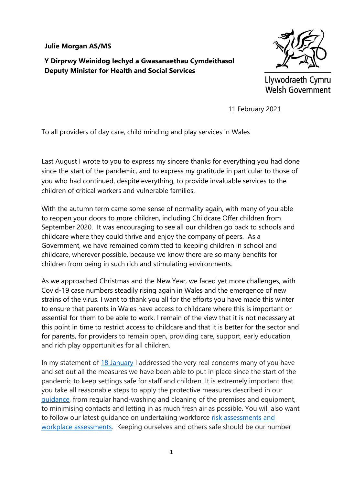## **Julie Morgan AS/MS**

**Y Dirprwy Weinidog Iechyd a Gwasanaethau Cymdeithasol Deputy Minister for Health and Social Services**



Llywodraeth Cymru **Welsh Government** 

11 February 2021

To all providers of day care, child minding and play services in Wales

Last August I wrote to you to express my sincere thanks for everything you had done since the start of the pandemic, and to express my gratitude in particular to those of you who had continued, despite everything, to provide invaluable services to the children of critical workers and vulnerable families.

With the autumn term came some sense of normality again, with many of you able to reopen your doors to more children, including Childcare Offer children from September 2020. It was encouraging to see all our children go back to schools and childcare where they could thrive and enjoy the company of peers. As a Government, we have remained committed to keeping children in school and childcare, wherever possible, because we know there are so many benefits for children from being in such rich and stimulating environments.

As we approached Christmas and the New Year, we faced yet more challenges, with Covid-19 case numbers steadily rising again in Wales and the emergence of new strains of the virus. I want to thank you all for the efforts you have made this winter to ensure that parents in Wales have access to childcare where this is important or essential for them to be able to work. I remain of the view that it is not necessary at this point in time to restrict access to childcare and that it is better for the sector and for parents, for providers to remain open, providing care, support, early education and rich play opportunities for all children.

In my statement of [18 January](https://gov.wales/written-statement-continued-operation-childcare-and-play-provision-wales) I addressed the very real concerns many of you have and set out all the measures we have been able to put in place since the start of the pandemic to keep settings safe for staff and children. It is extremely important that you take all reasonable steps to apply the protective measures described in our [guidance,](https://gov.wales/protective-measures-childcare-settings-keep-childcare-safe-html) from regular hand-washing and cleaning of the premises and equipment, to minimising contacts and letting in as much fresh air as possible. You will also want to follow our latest guidance on undertaking workforce [risk assessments](https://gov.wales/sites/default/files/publications/2021-01/covid-19-education-child-youth-settings-workforce-risk-assessment-tool-19-01-2021.pdf) and [workplace assessments.](https://gov.wales/sites/default/files/publications/2021-01/covid-19-education-child-youth-settings-workforce-risk-assessment-tool-19-01-2021.pdf) Keeping ourselves and others safe should be our number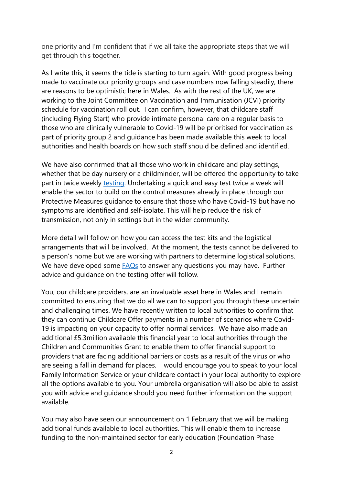one priority and I'm confident that if we all take the appropriate steps that we will get through this together.

As I write this, it seems the tide is starting to turn again. With good progress being made to vaccinate our priority groups and case numbers now falling steadily, there are reasons to be optimistic here in Wales. As with the rest of the UK, we are working to the Joint Committee on Vaccination and Immunisation (JCVI) priority schedule for vaccination roll out. I can confirm, however, that childcare staff (including Flying Start) who provide intimate personal care on a regular basis to those who are clinically vulnerable to Covid-19 will be prioritised for vaccination as part of priority group 2 and guidance has been made available this week to local authorities and health boards on how such staff should be defined and identified.

We have also confirmed that all those who work in childcare and play settings, whether that be day nursery or a childminder, will be offered the opportunity to take part in twice weekly [testing.](https://gov.wales/written-statement-testing-offer-schools-colleges-and-childcare-settings) Undertaking a quick and easy test twice a week will enable the sector to build on the control measures already in place through our Protective Measures guidance to ensure that those who have Covid-19 but have no symptoms are identified and self-isolate. This will help reduce the risk of transmission, not only in settings but in the wider community.

More detail will follow on how you can access the test kits and the logistical arrangements that will be involved. At the moment, the tests cannot be delivered to a person's home but we are working with partners to determine logistical solutions. We have developed some **FAQs** to answer any questions you may have. Further advice and guidance on the testing offer will follow.

You, our childcare providers, are an invaluable asset here in Wales and I remain committed to ensuring that we do all we can to support you through these uncertain and challenging times. We have recently written to local authorities to confirm that they can continue Childcare Offer payments in a number of scenarios where Covid-19 is impacting on your capacity to offer normal services. We have also made an additional £5.3million available this financial year to local authorities through the Children and Communities Grant to enable them to offer financial support to providers that are facing additional barriers or costs as a result of the virus or who are seeing a fall in demand for places. I would encourage you to speak to your local Family Information Service or your childcare contact in your local authority to explore all the options available to you. Your umbrella organisation will also be able to assist you with advice and guidance should you need further information on the support available.

You may also have seen our announcement on 1 February that we will be making additional funds available to local authorities. This will enable them to increase funding to the non-maintained sector for early education (Foundation Phase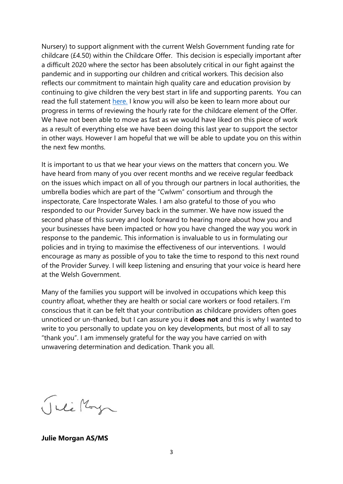Nursery) to support alignment with the current Welsh Government funding rate for childcare (£4.50) within the Childcare Offer. This decision is especially important after a difficult 2020 where the sector has been absolutely critical in our fight against the pandemic and in supporting our children and critical workers. This decision also reflects our commitment to maintain high quality care and education provision by continuing to give children the very best start in life and supporting parents. You can read the full statement [here.](https://gov.wales/written-statement-increased-foundation-phase-nursery-funding-aligning-education-and-childcare-rates) I know you will also be keen to learn more about our progress in terms of reviewing the hourly rate for the childcare element of the Offer. We have not been able to move as fast as we would have liked on this piece of work as a result of everything else we have been doing this last year to support the sector in other ways. However I am hopeful that we will be able to update you on this within the next few months.

It is important to us that we hear your views on the matters that concern you. We have heard from many of you over recent months and we receive regular feedback on the issues which impact on all of you through our partners in local authorities, the umbrella bodies which are part of the "Cwlwm" consortium and through the inspectorate, Care Inspectorate Wales. I am also grateful to those of you who responded to our Provider Survey back in the summer. We have now issued the second phase of this survey and look forward to hearing more about how you and your businesses have been impacted or how you have changed the way you work in response to the pandemic. This information is invaluable to us in formulating our policies and in trying to maximise the effectiveness of our interventions. I would encourage as many as possible of you to take the time to respond to this next round of the Provider Survey. I will keep listening and ensuring that your voice is heard here at the Welsh Government.

Many of the families you support will be involved in occupations which keep this country afloat, whether they are health or social care workers or food retailers. I'm conscious that it can be felt that your contribution as childcare providers often goes unnoticed or un-thanked, but I can assure you it **does not** and this is why I wanted to write to you personally to update you on key developments, but most of all to say "thank you". I am immensely grateful for the way you have carried on with unwavering determination and dedication. Thank you all.

Julie Morga

**Julie Morgan AS/MS**